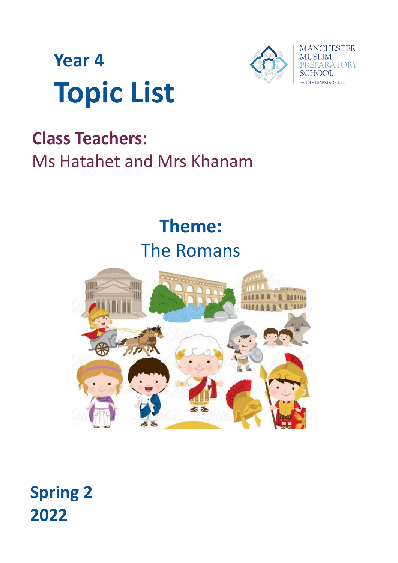



# **Class Teachers:**  Ms Hatahet and Mrs Khanam

# **Theme:** The Romans



**Spring 2 2022**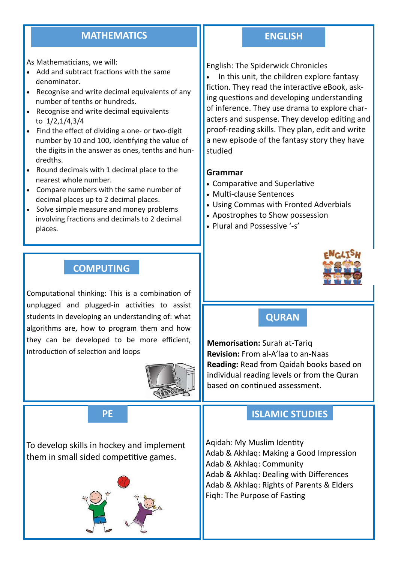#### **MATHEMATICS ENGLISH**

As Mathematicians, we will:

- Add and subtract fractions with the same denominator.
- Recognise and write decimal equivalents of any number of tenths or hundreds.
- Recognise and write decimal equivalents to 1/2,1/4,3/4
- Find the effect of dividing a one- or two-digit number by 10 and 100, identifying the value of the digits in the answer as ones, tenths and hundredths.
- Round decimals with 1 decimal place to the nearest whole number.
- Compare numbers with the same number of decimal places up to 2 decimal places.
- Solve simple measure and money problems involving fractions and decimals to 2 decimal places.

# **COMPUTING**

Computational thinking: This is a combination of unplugged and plugged-in activities to assist students in developing an understanding of: what algorithms are, how to program them and how they can be developed to be more efficient, introduction of selection and loops



To develop skills in hockey and implement them in small sided competitive games.



English: The Spiderwick Chronicles

• In this unit, the children explore fantasy fiction. They read the interactive eBook, asking questions and developing understanding of inference. They use drama to explore characters and suspense. They develop editing and proof-reading skills. They plan, edit and write a new episode of the fantasy story they have studied

#### **Grammar**

- Comparative and Superlative
- Multi-clause Sentences
- Using Commas with Fronted Adverbials
- Apostrophes to Show possession
- Plural and Possessive '-s'



# **QURAN**

**Memorisation:** Surah at-Tariq **Revision:** From al-A'laa to an-Naas **Reading:** Read from Qaidah books based on individual reading levels or from the Quran based on continued assessment.

# **PE ISLAMIC STUDIES**

Aqidah: My Muslim Identity Adab & Akhlaq: Making a Good Impression Adab & Akhlaq: Community Adab & Akhlaq: Dealing with Differences Adab & Akhlaq: Rights of Parents & Elders Fiqh: The Purpose of Fasting